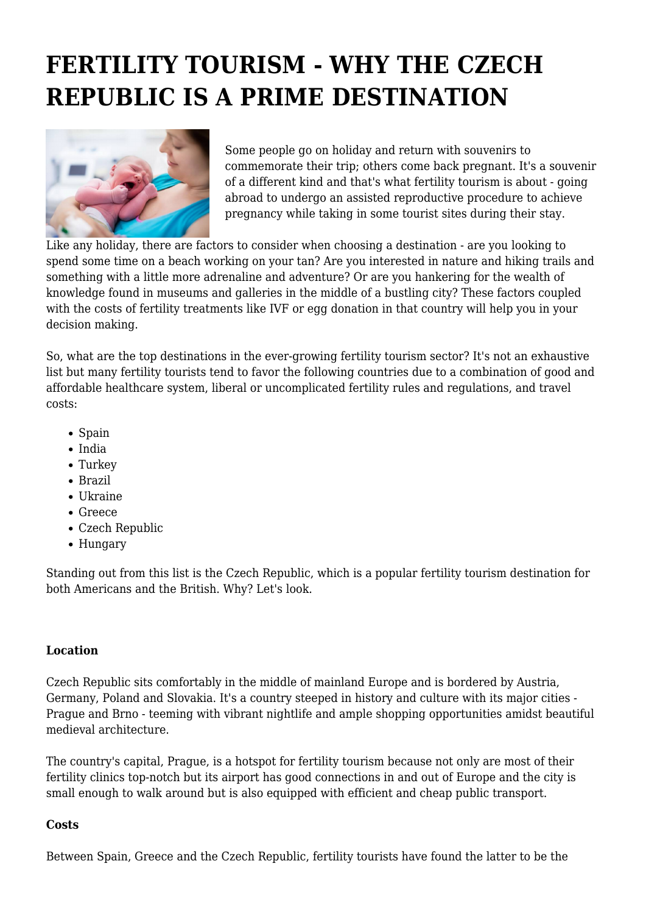# **FERTILITY TOURISM - WHY THE CZECH REPUBLIC IS A PRIME DESTINATION**



Some people go on holiday and return with souvenirs to commemorate their trip; others come back pregnant. It's a souvenir of a different kind and that's what fertility tourism is about - going abroad to undergo an assisted reproductive procedure to achieve pregnancy while taking in some tourist sites during their stay.

Like any holiday, there are factors to consider when choosing a destination - are you looking to spend some time on a beach working on your tan? Are you interested in nature and hiking trails and something with a little more adrenaline and adventure? Or are you hankering for the wealth of knowledge found in museums and galleries in the middle of a bustling city? These factors coupled with the costs of fertility treatments like IVF or egg donation in that country will help you in your decision making.

So, what are the top destinations in the ever-growing fertility tourism sector? It's not an exhaustive list but many fertility tourists tend to favor the following countries due to a combination of good and affordable healthcare system, liberal or uncomplicated fertility rules and regulations, and travel costs:

- Spain
- India
- Turkey
- Brazil
- $\bullet$  Ukraine
- Greece
- Czech Republic
- Hungary

Standing out from this list is the Czech Republic, which is a popular fertility tourism destination for both Americans and the British. Why? Let's look.

#### **Location**

Czech Republic sits comfortably in the middle of mainland Europe and is bordered by Austria, Germany, Poland and Slovakia. It's a country steeped in history and culture with its major cities - Prague and Brno - teeming with vibrant nightlife and ample shopping opportunities amidst beautiful medieval architecture.

The country's capital, Prague, is a hotspot for fertility tourism because not only are most of their fertility clinics top-notch but its airport has good connections in and out of Europe and the city is small enough to walk around but is also equipped with efficient and cheap public transport.

#### **Costs**

Between Spain, Greece and the Czech Republic, fertility tourists have found the latter to be the